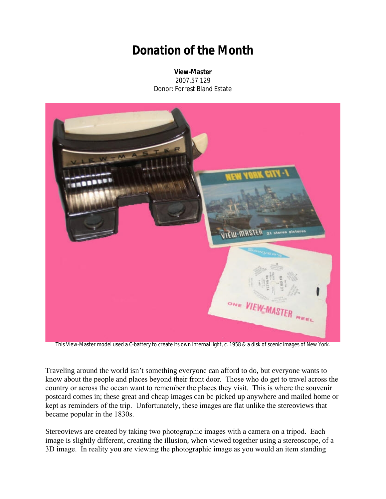## **Donation of the Month**

**View-Master** 2007.57.129 Donor: Forrest Bland Estate



This View-Master model used a C-battery to create its own internal light, c. 1958 & a disk of scenic images of New York.

Traveling around the world isn't something everyone can afford to do, but everyone wants to know about the people and places beyond their front door. Those who do get to travel across the country or across the ocean want to remember the places they visit. This is where the souvenir postcard comes in; these great and cheap images can be picked up anywhere and mailed home or kept as reminders of the trip. Unfortunately, these images are flat unlike the stereoviews that became popular in the 1830s.

Stereoviews are created by taking two photographic images with a camera on a tripod. Each image is slightly different, creating the illusion, when viewed together using a stereoscope, of a 3D image. In reality you are viewing the photographic image as you would an item standing